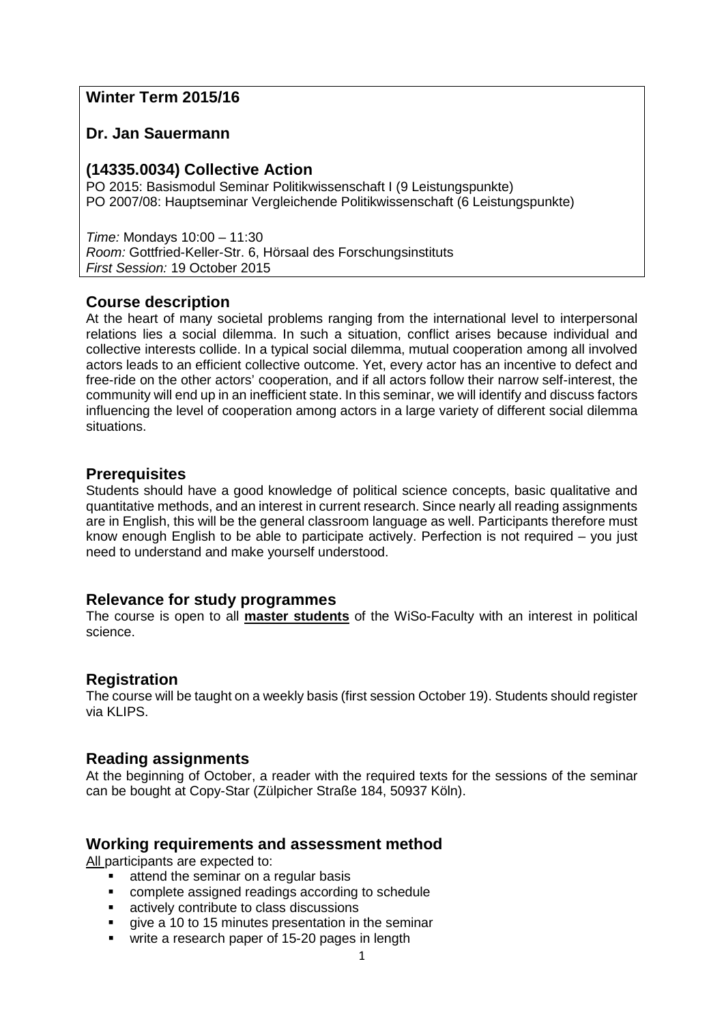# **Winter Term 2015/16**

# **Dr. Jan Sauermann**

# **(14335.0034) Collective Action**

PO 2015: Basismodul Seminar Politikwissenschaft I (9 Leistungspunkte) PO 2007/08: Hauptseminar Vergleichende Politikwissenschaft (6 Leistungspunkte)

*Time:* Mondays 10:00 – 11:30 *Room:* Gottfried-Keller-Str. 6, Hörsaal des Forschungsinstituts *First Session:* 19 October 2015

# **Course description**

At the heart of many societal problems ranging from the international level to interpersonal relations lies a social dilemma. In such a situation, conflict arises because individual and collective interests collide. In a typical social dilemma, mutual cooperation among all involved actors leads to an efficient collective outcome. Yet, every actor has an incentive to defect and free-ride on the other actors' cooperation, and if all actors follow their narrow self-interest, the community will end up in an inefficient state. In this seminar, we will identify and discuss factors influencing the level of cooperation among actors in a large variety of different social dilemma situations.

# **Prerequisites**

Students should have a good knowledge of political science concepts, basic qualitative and quantitative methods, and an interest in current research. Since nearly all reading assignments are in English, this will be the general classroom language as well. Participants therefore must know enough English to be able to participate actively. Perfection is not required – you just need to understand and make yourself understood.

# **Relevance for study programmes**

The course is open to all **master students** of the WiSo-Faculty with an interest in political science.

# **Registration**

The course will be taught on a weekly basis (first session October 19). Students should register via KLIPS.

# **Reading assignments**

At the beginning of October, a reader with the required texts for the sessions of the seminar can be bought at Copy-Star (Zülpicher Straße 184, 50937 Köln).

# **Working requirements and assessment method**

All participants are expected to:

- **EXEC** attend the seminar on a regular basis
- complete assigned readings according to schedule
- actively contribute to class discussions
- give a 10 to 15 minutes presentation in the seminar
- write a research paper of 15-20 pages in length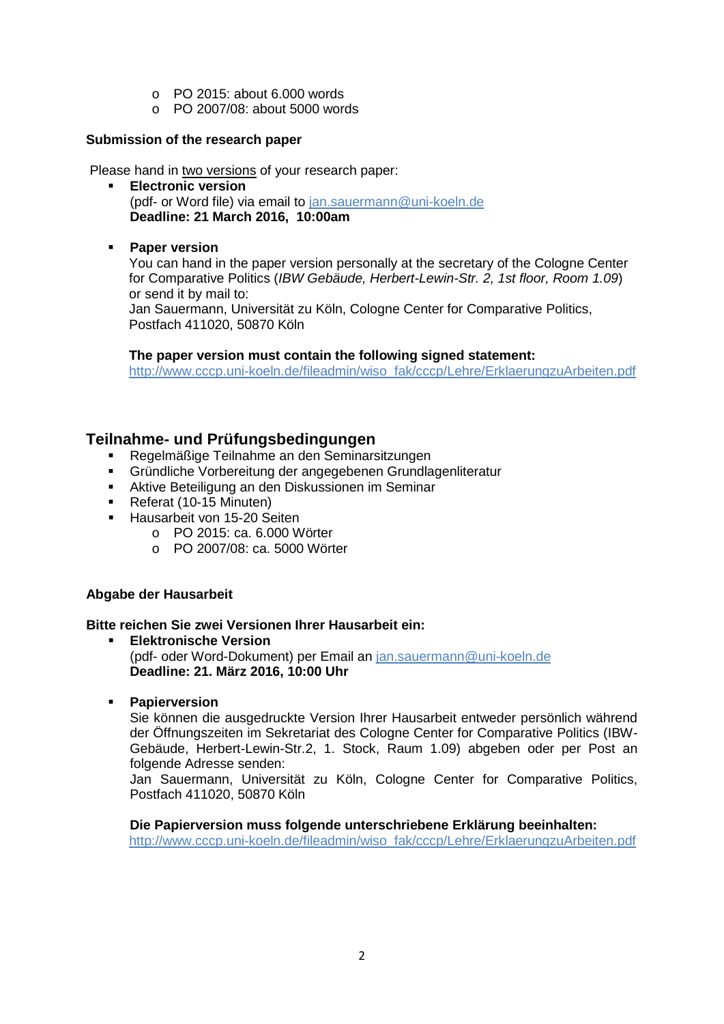- o PO 2015: about 6.000 words
- o PO 2007/08: about 5000 words

### **Submission of the research paper**

Please hand in two versions of your research paper:

- **Electronic version**  (pdf- or Word file) via email to [jan.sauermann@uni-koeln.de](mailto:jan.sauermann@uni-koeln.de) **Deadline: 21 March 2016, 10:00am**
- **Paper version**

You can hand in the paper version personally at the secretary of the Cologne Center for Comparative Politics (*IBW Gebäude, Herbert-Lewin-Str. 2, 1st floor, Room 1.09*) or send it by mail to:

Jan Sauermann, Universität zu Köln, Cologne Center for Comparative Politics, Postfach 411020, 50870 Köln

**The paper version must contain the following signed statement:** 

[http://www.cccp.uni-koeln.de/fileadmin/wiso\\_fak/cccp/Lehre/ErklaerungzuArbeiten.pdf](http://www.cccp.uni-koeln.de/fileadmin/wiso_fak/cccp/Lehre/ErklaerungzuArbeiten.pdf)

# **Teilnahme- und Prüfungsbedingungen**

- Regelmäßige Teilnahme an den Seminarsitzungen
- Gründliche Vorbereitung der angegebenen Grundlagenliteratur
- Aktive Beteiligung an den Diskussionen im Seminar
- Referat (10-15 Minuten)
- Hausarbeit von 15-20 Seiten
	- o PO 2015: ca. 6.000 Wörter
	- o PO 2007/08: ca. 5000 Wörter

### **Abgabe der Hausarbeit**

### **Bitte reichen Sie zwei Versionen Ihrer Hausarbeit ein:**

- **Elektronische Version** (pdf- oder Word-Dokument) per Email an [jan.sauermann@uni-koeln.de](mailto:jan.sauermann@uni-koeln.de) **Deadline: 21. März 2016, 10:00 Uhr**
- **Papierversion**

Sie können die ausgedruckte Version Ihrer Hausarbeit entweder persönlich während der Öffnungszeiten im Sekretariat des Cologne Center for Comparative Politics (IBW-Gebäude, Herbert-Lewin-Str.2, 1. Stock, Raum 1.09) abgeben oder per Post an folgende Adresse senden:

Jan Sauermann, Universität zu Köln, Cologne Center for Comparative Politics, Postfach 411020, 50870 Köln

**Die Papierversion muss folgende unterschriebene Erklärung beeinhalten:**

[http://www.cccp.uni-koeln.de/fileadmin/wiso\\_fak/cccp/Lehre/ErklaerungzuArbeiten.pdf](http://www.cccp.uni-koeln.de/fileadmin/wiso_fak/cccp/Lehre/ErklaerungzuArbeiten.pdf)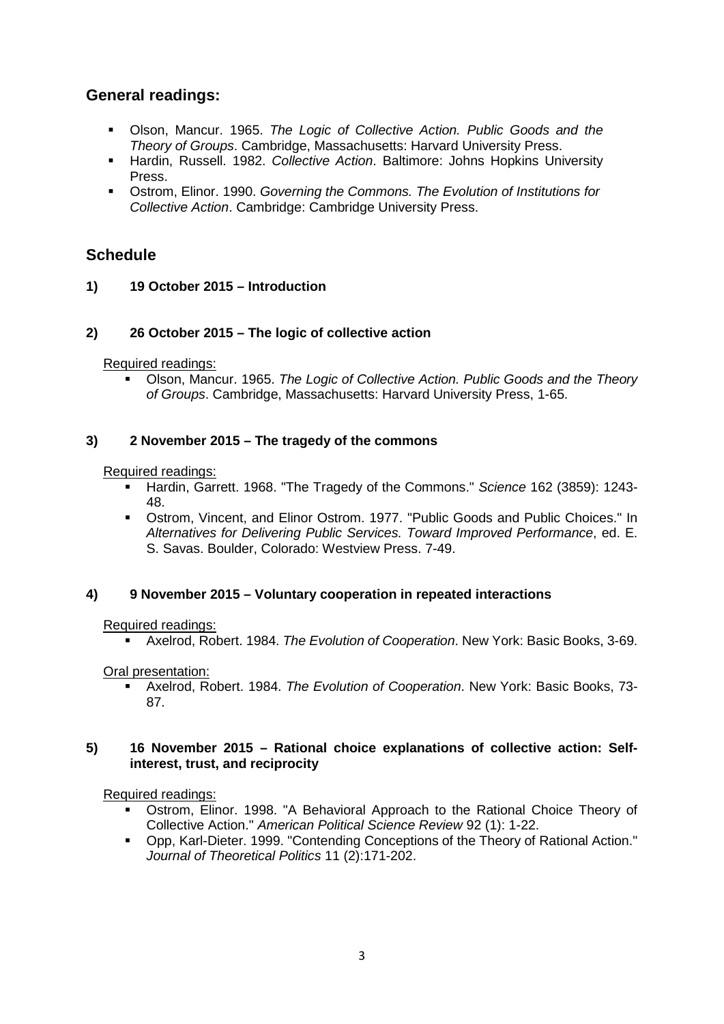# **General readings:**

- Olson, Mancur. 1965. *The Logic of Collective Action. Public Goods and the Theory of Groups*. Cambridge, Massachusetts: Harvard University Press.
- Hardin, Russell. 1982. *Collective Action*. Baltimore: Johns Hopkins University Press.
- Ostrom, Elinor. 1990. *Governing the Commons. The Evolution of Institutions for Collective Action*. Cambridge: Cambridge University Press.

# **Schedule**

**1) 19 October 2015 – Introduction**

## **2) 26 October 2015 – The logic of collective action**

Required readings:

 Olson, Mancur. 1965. *The Logic of Collective Action. Public Goods and the Theory of Groups*. Cambridge, Massachusetts: Harvard University Press, 1-65.

## **3) 2 November 2015 – The tragedy of the commons**

#### Required readings:

- Hardin, Garrett. 1968. "The Tragedy of the Commons." *Science* 162 (3859): 1243- 48.
- Ostrom, Vincent, and Elinor Ostrom. 1977. "Public Goods and Public Choices." In *Alternatives for Delivering Public Services. Toward Improved Performance*, ed. E. S. Savas. Boulder, Colorado: Westview Press. 7-49.

### **4) 9 November 2015 – Voluntary cooperation in repeated interactions**

### Required readings:

Axelrod, Robert. 1984. *The Evolution of Cooperation*. New York: Basic Books, 3-69.

Oral presentation:

 Axelrod, Robert. 1984. *The Evolution of Cooperation*. New York: Basic Books, 73- 87.

#### **5) 16 November 2015 – Rational choice explanations of collective action: Selfinterest, trust, and reciprocity**

Required readings:

- Ostrom, Elinor. 1998. "A Behavioral Approach to the Rational Choice Theory of Collective Action." *American Political Science Review* 92 (1): 1-22.
- Opp, Karl-Dieter. 1999. "Contending Conceptions of the Theory of Rational Action." *Journal of Theoretical Politics* 11 (2):171-202.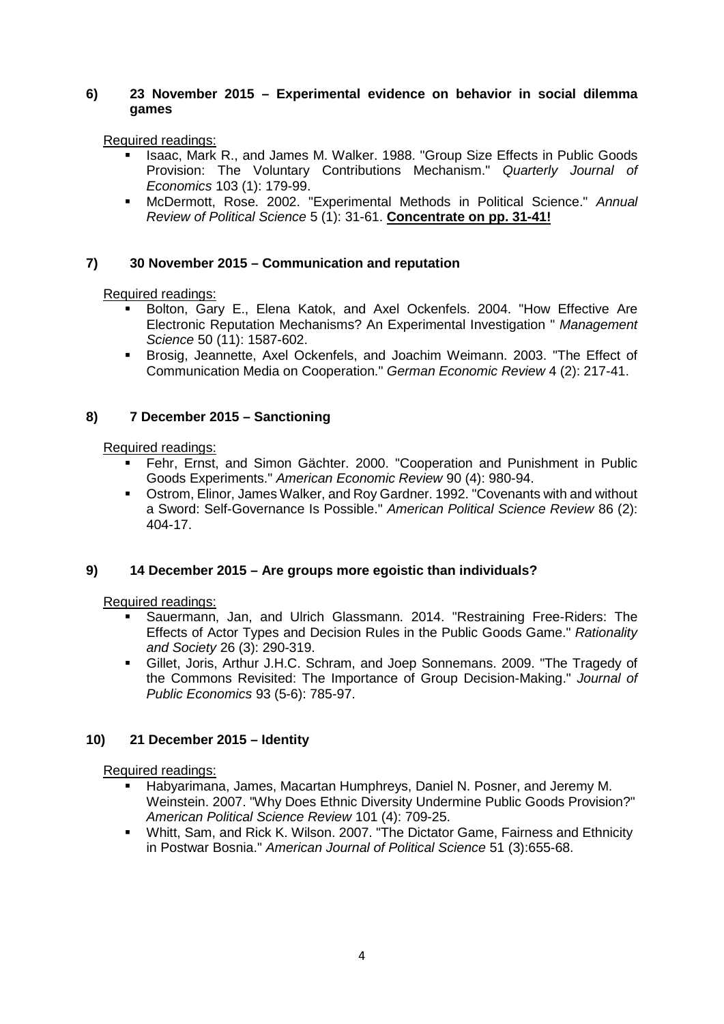### **6) 23 November 2015 – Experimental evidence on behavior in social dilemma games**

Required readings:

- Isaac, Mark R., and James M. Walker. 1988. "Group Size Effects in Public Goods Provision: The Voluntary Contributions Mechanism." *Quarterly Journal of Economics* 103 (1): 179-99.
- McDermott, Rose. 2002. "Experimental Methods in Political Science." *Annual Review of Political Science* 5 (1): 31-61. **Concentrate on pp. 31-41!**

## **7) 30 November 2015 – Communication and reputation**

Required readings:

- Bolton, Gary E., Elena Katok, and Axel Ockenfels. 2004. "How Effective Are Electronic Reputation Mechanisms? An Experimental Investigation " *Management Science* 50 (11): 1587-602.
- Brosig, Jeannette, Axel Ockenfels, and Joachim Weimann. 2003. "The Effect of Communication Media on Cooperation." *German Economic Review* 4 (2): 217-41.

## **8) 7 December 2015 – Sanctioning**

Required readings:

- Fehr, Ernst, and Simon Gächter. 2000. "Cooperation and Punishment in Public Goods Experiments." *American Economic Review* 90 (4): 980-94.
- Ostrom, Elinor, James Walker, and Roy Gardner. 1992. "Covenants with and without a Sword: Self-Governance Is Possible." *American Political Science Review* 86 (2): 404-17.

# **9) 14 December 2015 – Are groups more egoistic than individuals?**

Required readings:

- Sauermann, Jan, and Ulrich Glassmann. 2014. "Restraining Free-Riders: The Effects of Actor Types and Decision Rules in the Public Goods Game." *Rationality and Society* 26 (3): 290-319.
- Gillet, Joris, Arthur J.H.C. Schram, and Joep Sonnemans. 2009. "The Tragedy of the Commons Revisited: The Importance of Group Decision-Making." *Journal of Public Economics* 93 (5-6): 785-97.

# **10) 21 December 2015 – Identity**

Required readings:

- Habyarimana, James, Macartan Humphreys, Daniel N. Posner, and Jeremy M. Weinstein. 2007. "Why Does Ethnic Diversity Undermine Public Goods Provision?" *American Political Science Review* 101 (4): 709-25.
- Whitt, Sam, and Rick K. Wilson. 2007. "The Dictator Game, Fairness and Ethnicity in Postwar Bosnia." *American Journal of Political Science* 51 (3):655-68.